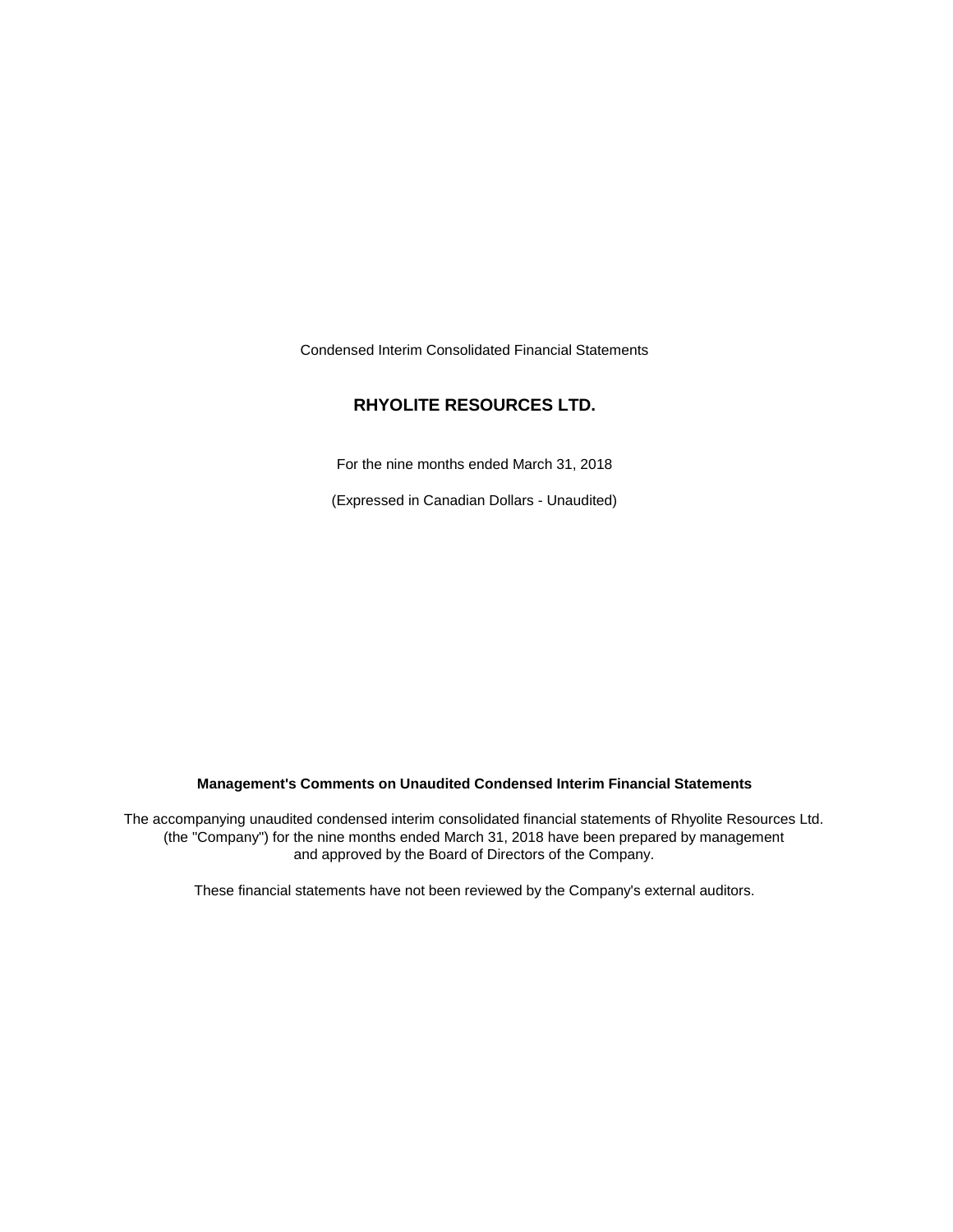Condensed Interim Consolidated Financial Statements

# **RHYOLITE RESOURCES LTD.**

For the nine months ended March 31, 2018

(Expressed in Canadian Dollars - Unaudited)

## **Management's Comments on Unaudited Condensed Interim Financial Statements**

The accompanying unaudited condensed interim consolidated financial statements of Rhyolite Resources Ltd. (the "Company") for the nine months ended March 31, 2018 have been prepared by management and approved by the Board of Directors of the Company.

These financial statements have not been reviewed by the Company's external auditors.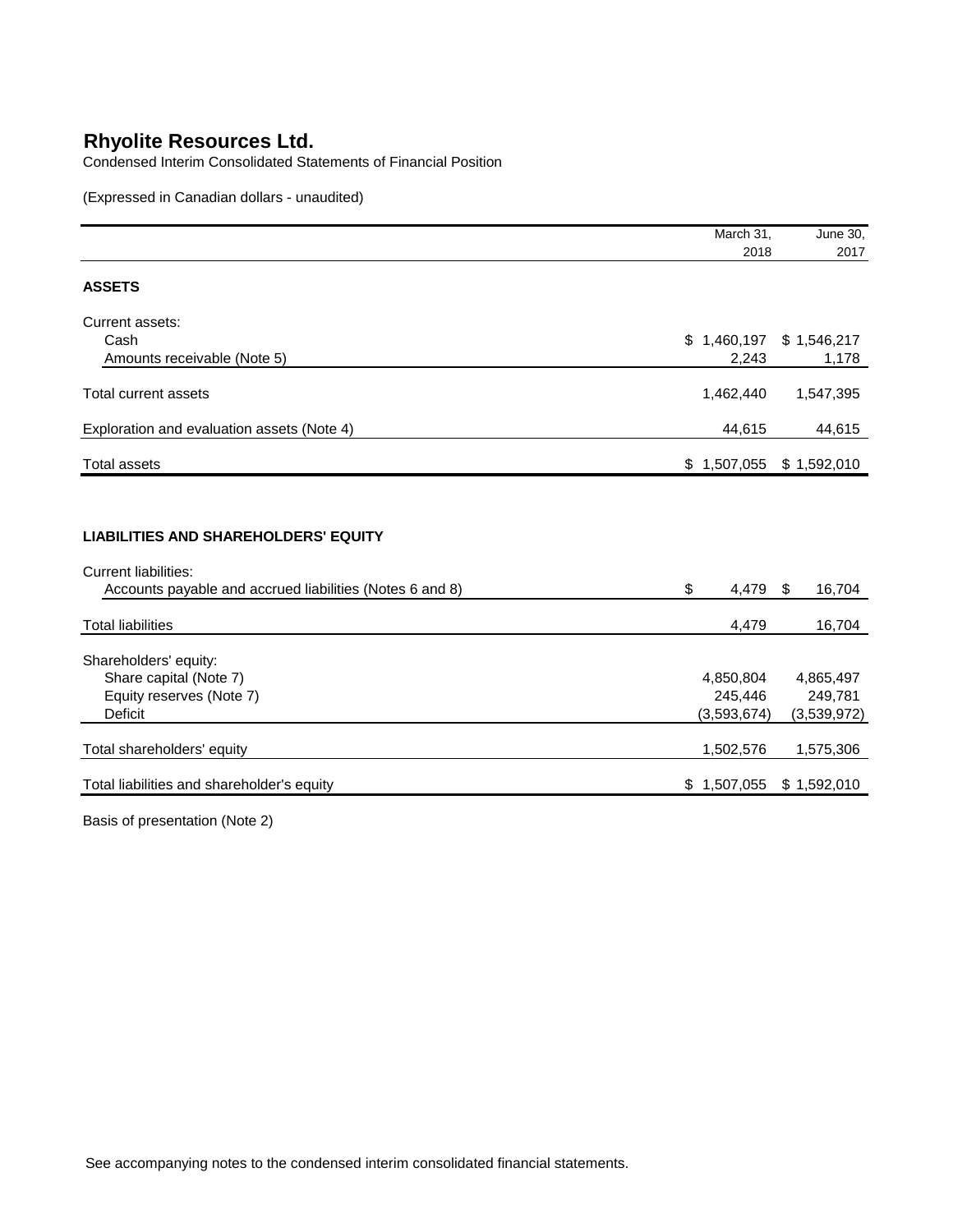Condensed Interim Consolidated Statements of Financial Position

(Expressed in Canadian dollars - unaudited)

|                                                                                                                                        | March 31,              | June 30,               |
|----------------------------------------------------------------------------------------------------------------------------------------|------------------------|------------------------|
|                                                                                                                                        | 2018                   | 2017                   |
| <b>ASSETS</b>                                                                                                                          |                        |                        |
| Current assets:                                                                                                                        |                        |                        |
| Cash                                                                                                                                   | \$1,460,197            | \$1,546,217            |
| Amounts receivable (Note 5)                                                                                                            | 2,243                  | 1,178                  |
| <b>Total current assets</b>                                                                                                            | 1,462,440              | 1,547,395              |
| Exploration and evaluation assets (Note 4)                                                                                             | 44,615                 | 44,615                 |
| <b>Total assets</b>                                                                                                                    | \$1,507,055            | \$1,592,010            |
| <b>LIABILITIES AND SHAREHOLDERS' EQUITY</b><br><b>Current liabilities:</b><br>Accounts payable and accrued liabilities (Notes 6 and 8) | \$<br>4,479            | -\$<br>16,704          |
| <b>Total liabilities</b>                                                                                                               | 4,479                  | 16,704                 |
| Shareholders' equity:                                                                                                                  |                        |                        |
| Share capital (Note 7)                                                                                                                 | 4,850,804              | 4,865,497              |
| Equity reserves (Note 7)<br><b>Deficit</b>                                                                                             | 245,446<br>(3,593,674) | 249,781<br>(3,539,972) |
|                                                                                                                                        |                        |                        |
| Total shareholders' equity                                                                                                             | 1,502,576              | 1,575,306              |
| Total liabilities and shareholder's equity                                                                                             | 1,507,055<br>\$.       | \$1,592,010            |
|                                                                                                                                        |                        |                        |

Basis of presentation (Note 2)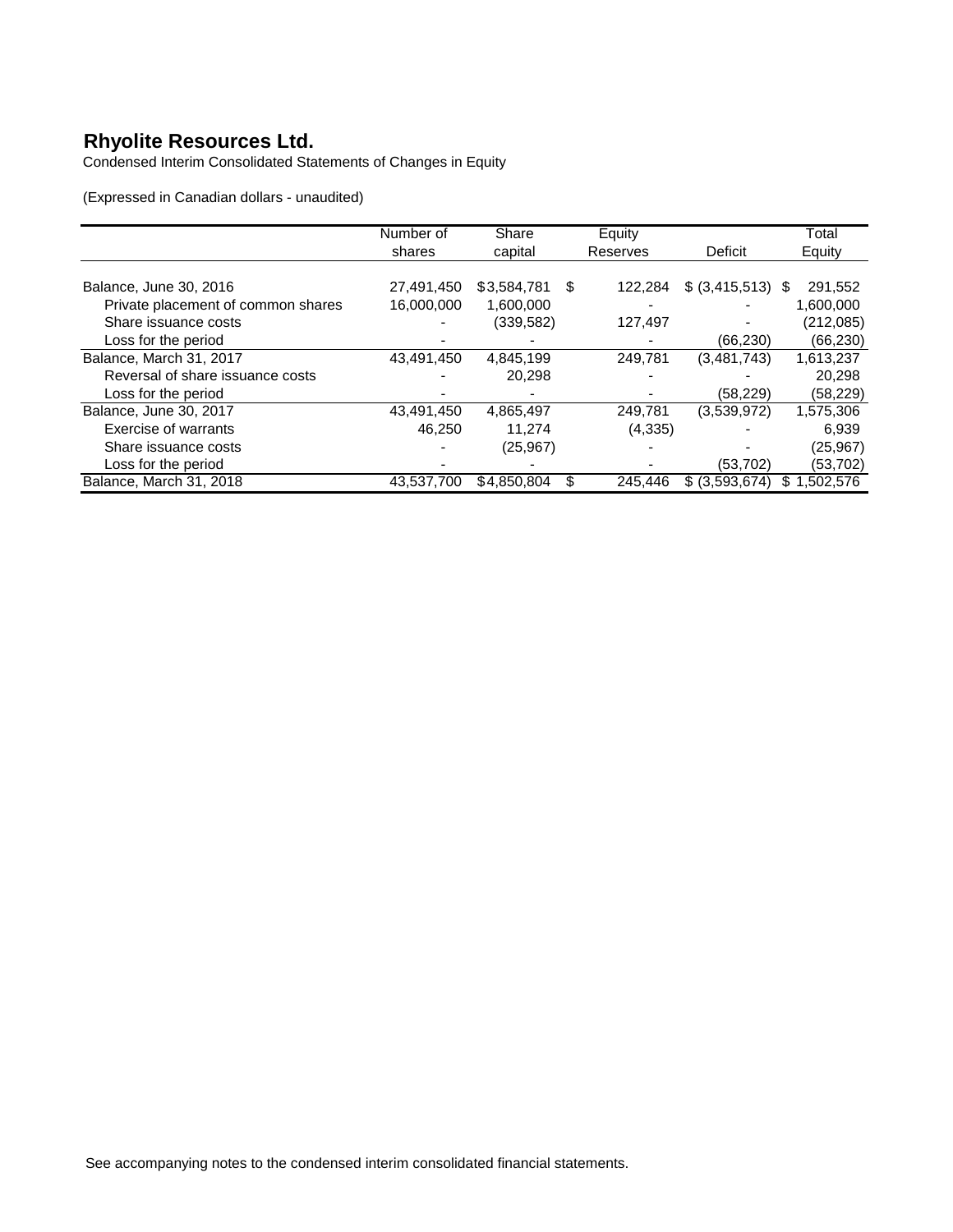Condensed Interim Consolidated Statements of Changes in Equity

(Expressed in Canadian dollars - unaudited)

|                                    | Number of  | Share       |   | Equity   |                     | Total           |
|------------------------------------|------------|-------------|---|----------|---------------------|-----------------|
|                                    | shares     | capital     |   | Reserves | Deficit             | Equity          |
|                                    |            |             |   |          |                     |                 |
| Balance, June 30, 2016             | 27,491,450 | \$3,584,781 | S | 122.284  | $$$ (3,415,513) $$$ | 291,552         |
| Private placement of common shares | 16,000,000 | 1,600,000   |   |          |                     | 1,600,000       |
| Share issuance costs               |            | (339, 582)  |   | 127,497  |                     | (212, 085)      |
| Loss for the period                |            |             |   |          | (66, 230)           | (66, 230)       |
| Balance, March 31, 2017            | 43,491,450 | 4,845,199   |   | 249,781  | (3,481,743)         | 1,613,237       |
| Reversal of share issuance costs   |            | 20.298      |   |          |                     | 20.298          |
| Loss for the period                |            |             |   |          | (58, 229)           | (58, 229)       |
| Balance, June 30, 2017             | 43,491,450 | 4,865,497   |   | 249,781  | (3.539.972)         | 1,575,306       |
| Exercise of warrants               | 46,250     | 11,274      |   | (4, 335) |                     | 6,939           |
| Share issuance costs               |            | (25, 967)   |   |          |                     | (25, 967)       |
| Loss for the period                |            |             |   |          | (53, 702)           | (53, 702)       |
| Balance, March 31, 2018            | 43,537,700 | \$4,850,804 | S | 245.446  | \$ (3,593,674)      | 1,502,576<br>S. |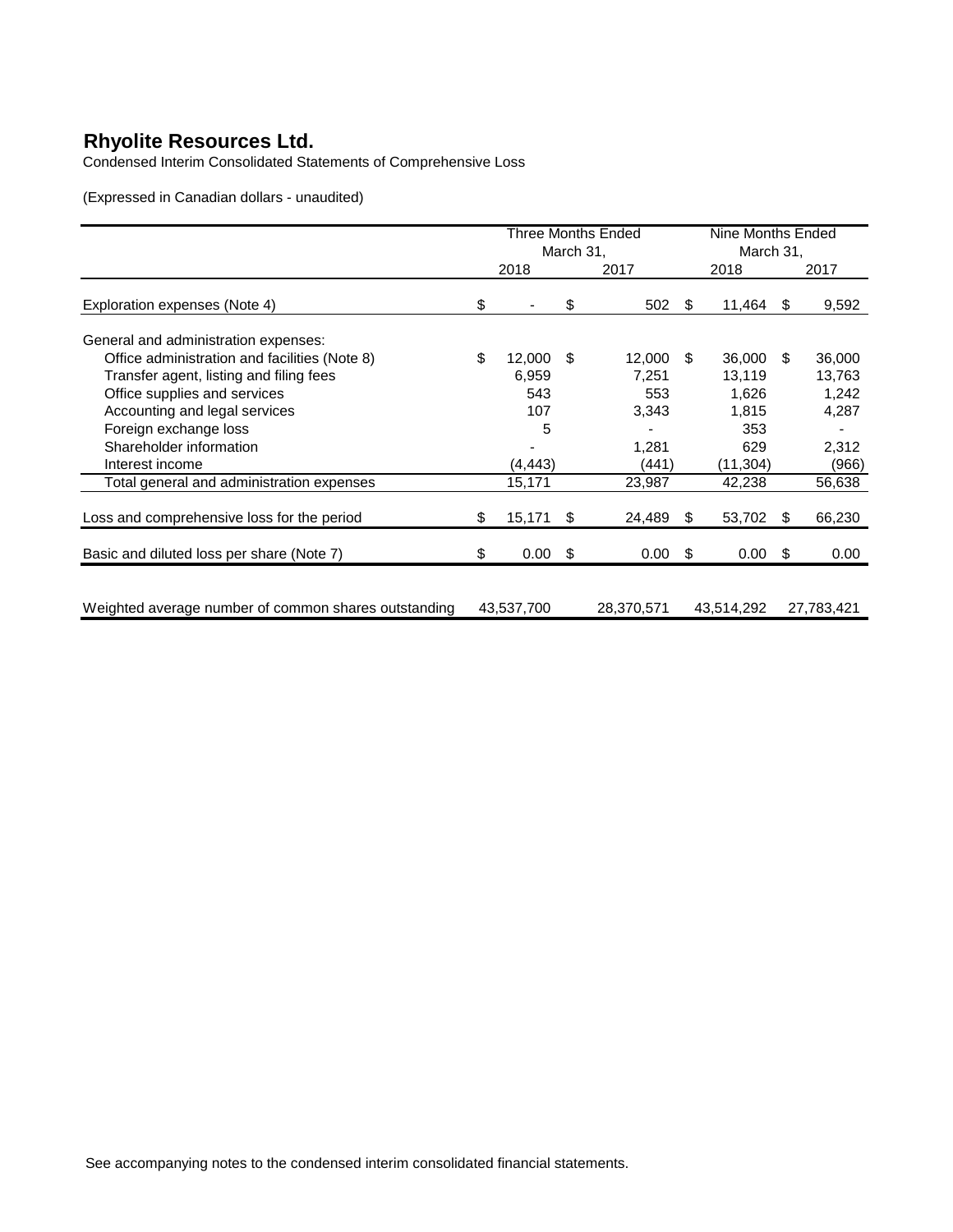Condensed Interim Consolidated Statements of Comprehensive Loss

(Expressed in Canadian dollars - unaudited)

|                                                      | Three Months Ended |                          |     | Nine Months Ended |           |            |     |            |
|------------------------------------------------------|--------------------|--------------------------|-----|-------------------|-----------|------------|-----|------------|
|                                                      | March 31,          |                          |     |                   | March 31, |            |     |            |
|                                                      |                    | 2018                     |     | 2017              |           | 2018       |     | 2017       |
| Exploration expenses (Note 4)                        | \$                 | $\overline{\phantom{a}}$ | \$  | 502               | \$.       | 11,464     | -SS | 9,592      |
| General and administration expenses:                 |                    |                          |     |                   |           |            |     |            |
| Office administration and facilities (Note 8)        | \$                 | 12,000                   | \$  | 12,000            | \$.       | 36,000     | -SS | 36,000     |
| Transfer agent, listing and filing fees              |                    | 6,959                    |     | 7,251             |           | 13,119     |     | 13,763     |
| Office supplies and services                         |                    | 543                      |     | 553               |           | 1.626      |     | 1,242      |
| Accounting and legal services                        |                    | 107                      |     | 3,343             |           | 1,815      |     | 4,287      |
| Foreign exchange loss                                |                    | 5                        |     |                   |           | 353        |     |            |
| Shareholder information                              |                    |                          |     | 1,281             |           | 629        |     | 2,312      |
| Interest income                                      |                    | (4, 443)                 |     | (441)             |           | (11, 304)  |     | (966)      |
| Total general and administration expenses            |                    | 15,171                   |     | 23,987            |           | 42,238     |     | 56,638     |
| Loss and comprehensive loss for the period           | \$                 | 15,171                   | \$  | 24,489            | \$.       | 53,702     | \$. | 66,230     |
| Basic and diluted loss per share (Note 7)            | \$                 | 0.00                     | -\$ | 0.00              | \$        | 0.00       | \$. | 0.00       |
|                                                      |                    |                          |     |                   |           |            |     |            |
| Weighted average number of common shares outstanding |                    | 43,537,700               |     | 28,370,571        |           | 43,514,292 |     | 27,783,421 |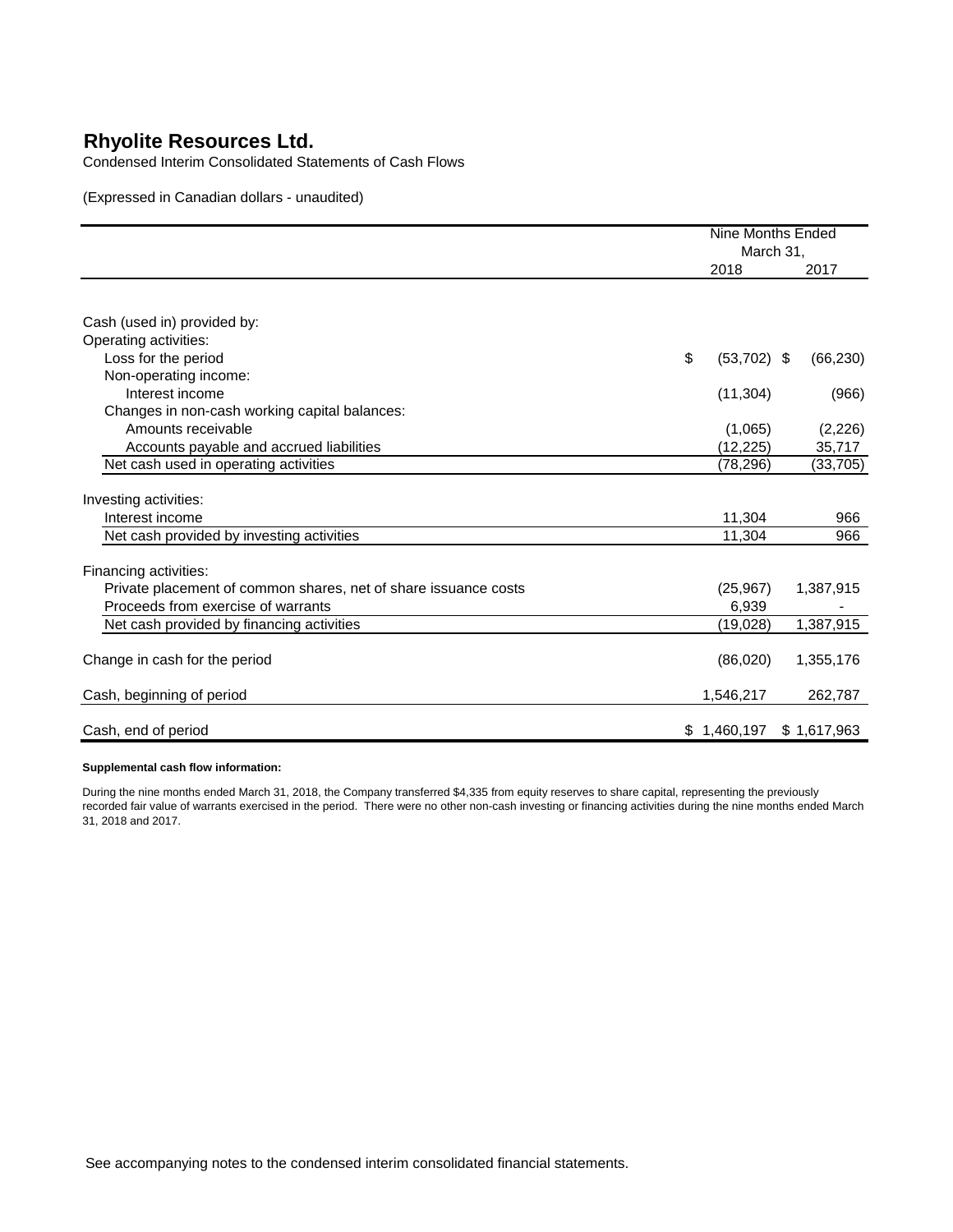Condensed Interim Consolidated Statements of Cash Flows

(Expressed in Canadian dollars - unaudited)

|                                                                 |    | Nine Months Ended<br>March 31, |             |
|-----------------------------------------------------------------|----|--------------------------------|-------------|
|                                                                 |    | 2018                           | 2017        |
|                                                                 |    |                                |             |
| Cash (used in) provided by:                                     |    |                                |             |
| Operating activities:                                           |    |                                |             |
| Loss for the period                                             | \$ | $(53,702)$ \$                  | (66, 230)   |
| Non-operating income:                                           |    |                                |             |
| Interest income                                                 |    | (11, 304)                      | (966)       |
| Changes in non-cash working capital balances:                   |    |                                |             |
| Amounts receivable                                              |    | (1,065)                        | (2, 226)    |
| Accounts payable and accrued liabilities                        |    | (12, 225)                      | 35,717      |
| Net cash used in operating activities                           |    | (78, 296)                      | (33, 705)   |
| Investing activities:                                           |    |                                |             |
| Interest income                                                 |    | 11,304                         | 966         |
| Net cash provided by investing activities                       |    | 11,304                         | 966         |
| Financing activities:                                           |    |                                |             |
| Private placement of common shares, net of share issuance costs |    | (25, 967)                      | 1,387,915   |
| Proceeds from exercise of warrants                              |    | 6,939                          |             |
| Net cash provided by financing activities                       |    | (19, 028)                      | 1,387,915   |
| Change in cash for the period                                   |    | (86,020)                       | 1,355,176   |
| Cash, beginning of period                                       |    | 1,546,217                      | 262,787     |
| Cash, end of period                                             |    | \$1,460,197                    | \$1,617,963 |

#### **Supplemental cash flow information:**

During the nine months ended March 31, 2018, the Company transferred \$4,335 from equity reserves to share capital, representing the previously recorded fair value of warrants exercised in the period. There were no other non-cash investing or financing activities during the nine months ended March 31, 2018 and 2017.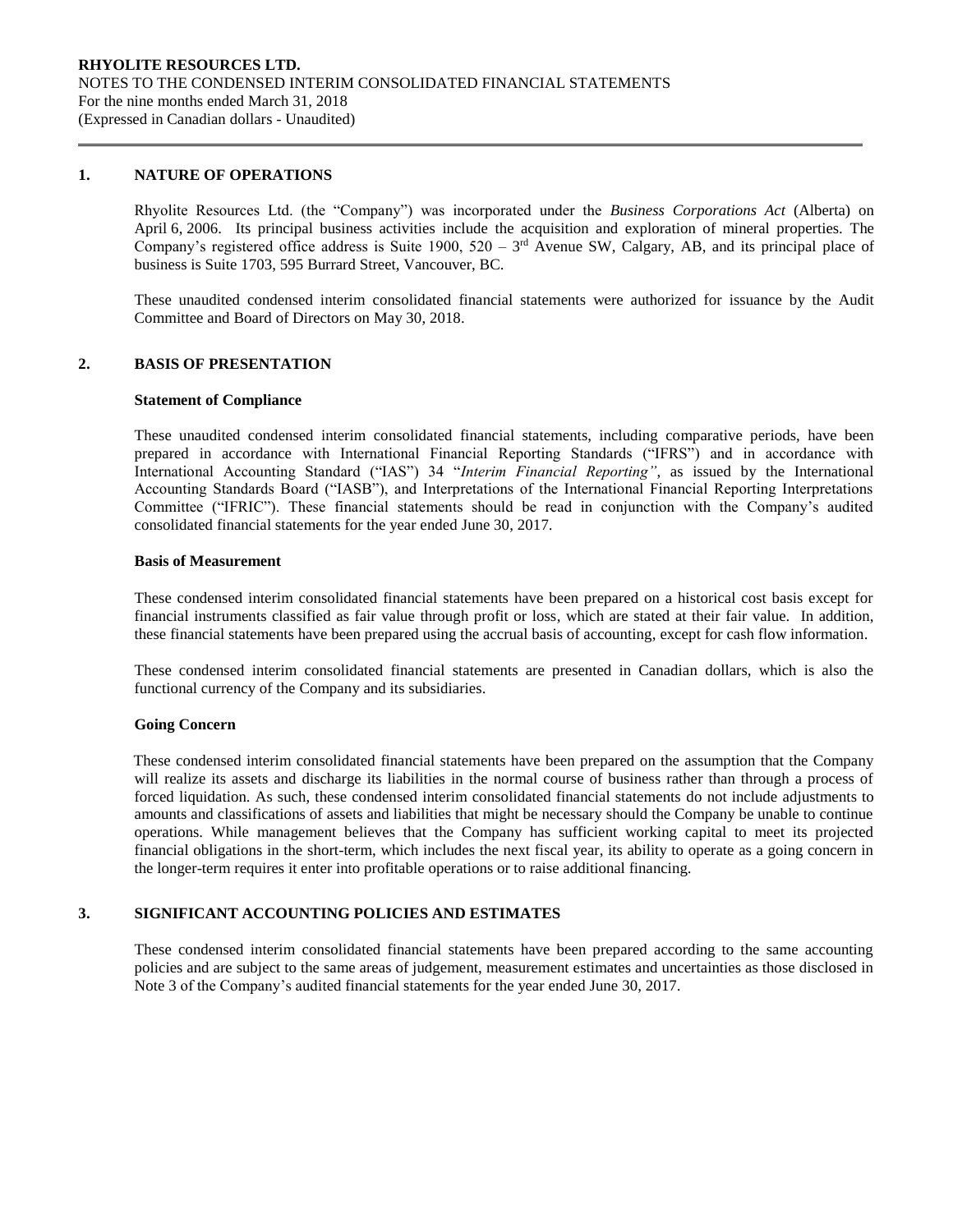### **1. NATURE OF OPERATIONS**

Rhyolite Resources Ltd. (the "Company") was incorporated under the *Business Corporations Act* (Alberta) on April 6, 2006. Its principal business activities include the acquisition and exploration of mineral properties. The Company's registered office address is Suite 1900,  $520 - 3<sup>rd</sup>$  Avenue SW, Calgary, AB, and its principal place of business is Suite 1703, 595 Burrard Street, Vancouver, BC.

These unaudited condensed interim consolidated financial statements were authorized for issuance by the Audit Committee and Board of Directors on May 30, 2018.

## **2. BASIS OF PRESENTATION**

#### **Statement of Compliance**

These unaudited condensed interim consolidated financial statements, including comparative periods, have been prepared in accordance with International Financial Reporting Standards ("IFRS") and in accordance with International Accounting Standard ("IAS") 34 "*Interim Financial Reporting"*, as issued by the International Accounting Standards Board ("IASB"), and Interpretations of the International Financial Reporting Interpretations Committee ("IFRIC"). These financial statements should be read in conjunction with the Company's audited consolidated financial statements for the year ended June 30, 2017.

#### **Basis of Measurement**

These condensed interim consolidated financial statements have been prepared on a historical cost basis except for financial instruments classified as fair value through profit or loss, which are stated at their fair value. In addition, these financial statements have been prepared using the accrual basis of accounting, except for cash flow information.

These condensed interim consolidated financial statements are presented in Canadian dollars, which is also the functional currency of the Company and its subsidiaries.

#### **Going Concern**

These condensed interim consolidated financial statements have been prepared on the assumption that the Company will realize its assets and discharge its liabilities in the normal course of business rather than through a process of forced liquidation. As such, these condensed interim consolidated financial statements do not include adjustments to amounts and classifications of assets and liabilities that might be necessary should the Company be unable to continue operations. While management believes that the Company has sufficient working capital to meet its projected financial obligations in the short-term, which includes the next fiscal year, its ability to operate as a going concern in the longer-term requires it enter into profitable operations or to raise additional financing.

# **3. SIGNIFICANT ACCOUNTING POLICIES AND ESTIMATES**

These condensed interim consolidated financial statements have been prepared according to the same accounting policies and are subject to the same areas of judgement, measurement estimates and uncertainties as those disclosed in Note 3 of the Company's audited financial statements for the year ended June 30, 2017.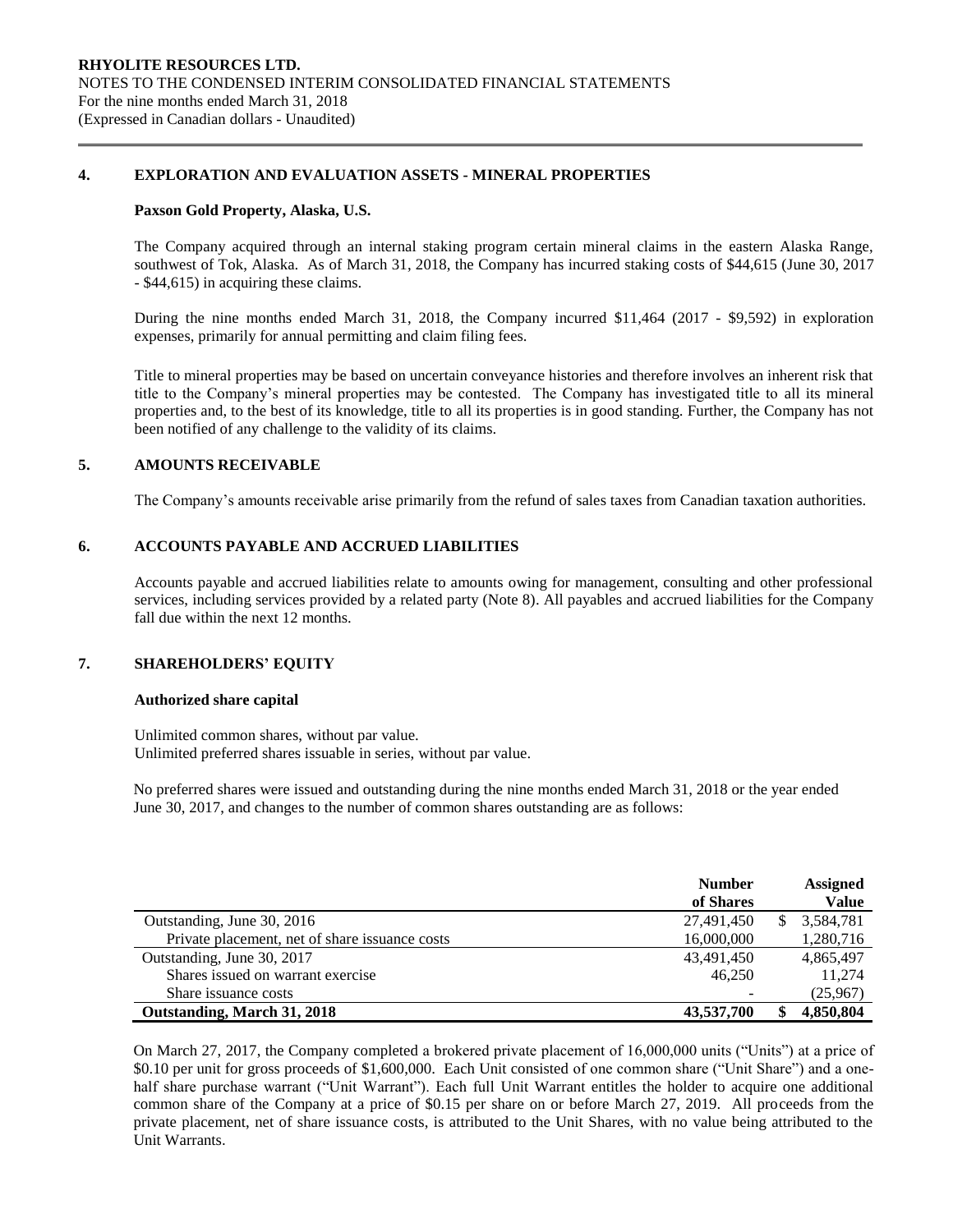## **4. EXPLORATION AND EVALUATION ASSETS - MINERAL PROPERTIES**

#### **Paxson Gold Property, Alaska, U.S.**

The Company acquired through an internal staking program certain mineral claims in the eastern Alaska Range, southwest of Tok, Alaska. As of March 31, 2018, the Company has incurred staking costs of \$44,615 (June 30, 2017 - \$44,615) in acquiring these claims.

During the nine months ended March 31, 2018, the Company incurred \$11,464 (2017 - \$9,592) in exploration expenses, primarily for annual permitting and claim filing fees.

Title to mineral properties may be based on uncertain conveyance histories and therefore involves an inherent risk that title to the Company's mineral properties may be contested. The Company has investigated title to all its mineral properties and, to the best of its knowledge, title to all its properties is in good standing. Further, the Company has not been notified of any challenge to the validity of its claims.

### **5. AMOUNTS RECEIVABLE**

The Company's amounts receivable arise primarily from the refund of sales taxes from Canadian taxation authorities.

## **6. ACCOUNTS PAYABLE AND ACCRUED LIABILITIES**

Accounts payable and accrued liabilities relate to amounts owing for management, consulting and other professional services, including services provided by a related party (Note 8). All payables and accrued liabilities for the Company fall due within the next 12 months.

### **7. SHAREHOLDERS' EQUITY**

### **Authorized share capital**

Unlimited common shares, without par value. Unlimited preferred shares issuable in series, without par value.

No preferred shares were issued and outstanding during the nine months ended March 31, 2018 or the year ended June 30, 2017, and changes to the number of common shares outstanding are as follows:

|                                                | <b>Number</b> | <b>Assigned</b> |
|------------------------------------------------|---------------|-----------------|
|                                                | of Shares     | <b>Value</b>    |
| Outstanding, June 30, 2016                     | 27,491,450    | 3,584,781       |
| Private placement, net of share issuance costs | 16,000,000    | 1,280,716       |
| Outstanding, June 30, 2017                     | 43,491,450    | 4,865,497       |
| Shares issued on warrant exercise              | 46.250        | 11.274          |
| Share issuance costs                           |               | (25,967)        |
| Outstanding, March 31, 2018                    | 43,537,700    | 4,850,804       |

On March 27, 2017, the Company completed a brokered private placement of 16,000,000 units ("Units") at a price of \$0.10 per unit for gross proceeds of \$1,600,000. Each Unit consisted of one common share ("Unit Share") and a onehalf share purchase warrant ("Unit Warrant"). Each full Unit Warrant entitles the holder to acquire one additional common share of the Company at a price of \$0.15 per share on or before March 27, 2019. All proceeds from the private placement, net of share issuance costs, is attributed to the Unit Shares, with no value being attributed to the Unit Warrants.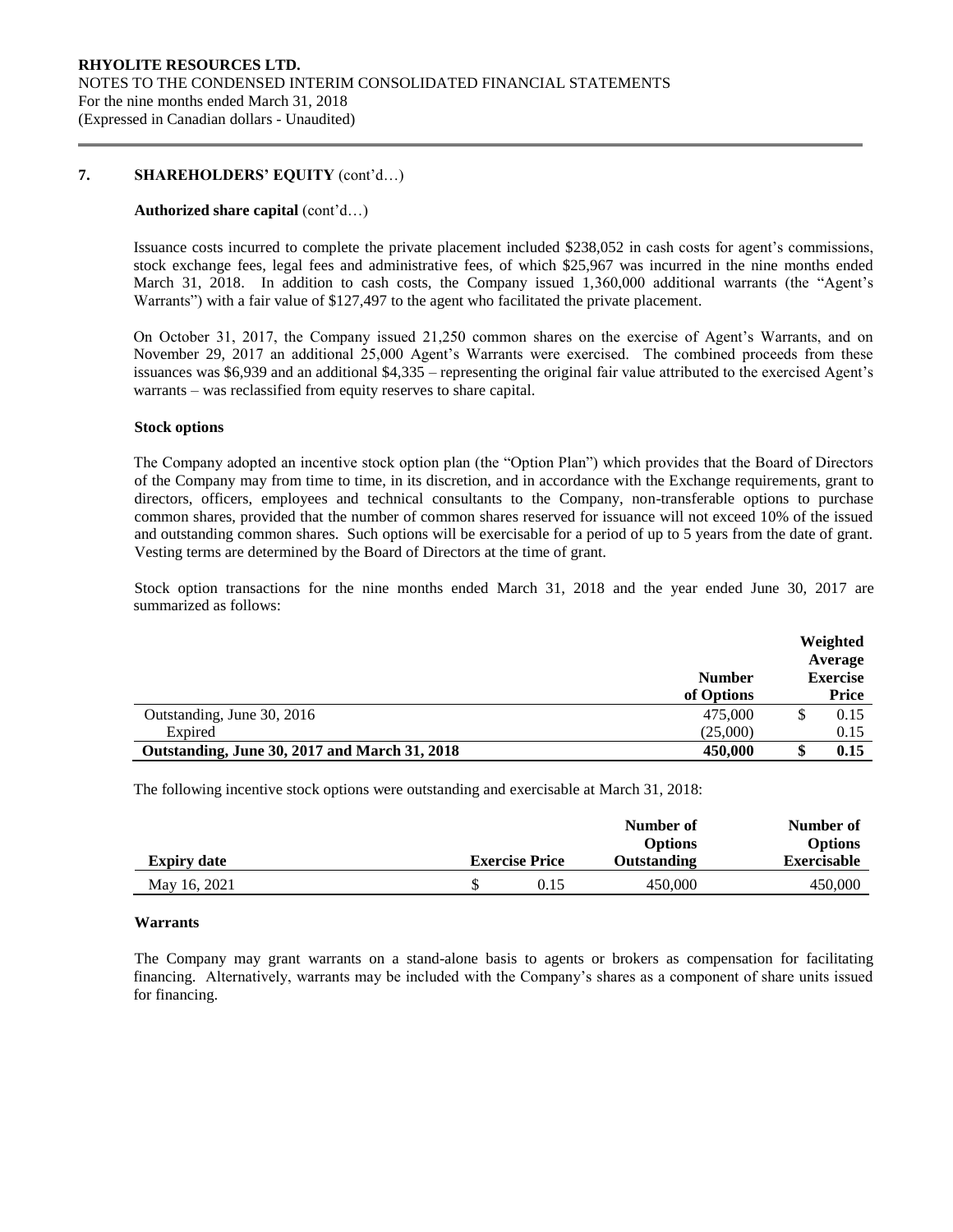## **7. SHAREHOLDERS' EQUITY** (cont'd…)

#### **Authorized share capital** (cont'd…)

Issuance costs incurred to complete the private placement included \$238,052 in cash costs for agent's commissions, stock exchange fees, legal fees and administrative fees, of which \$25,967 was incurred in the nine months ended March 31, 2018. In addition to cash costs, the Company issued 1,360,000 additional warrants (the "Agent's Warrants") with a fair value of \$127,497 to the agent who facilitated the private placement.

On October 31, 2017, the Company issued 21,250 common shares on the exercise of Agent's Warrants, and on November 29, 2017 an additional 25,000 Agent's Warrants were exercised. The combined proceeds from these issuances was \$6,939 and an additional \$4,335 – representing the original fair value attributed to the exercised Agent's warrants – was reclassified from equity reserves to share capital.

#### **Stock options**

The Company adopted an incentive stock option plan (the "Option Plan") which provides that the Board of Directors of the Company may from time to time, in its discretion, and in accordance with the Exchange requirements, grant to directors, officers, employees and technical consultants to the Company, non-transferable options to purchase common shares, provided that the number of common shares reserved for issuance will not exceed 10% of the issued and outstanding common shares. Such options will be exercisable for a period of up to 5 years from the date of grant. Vesting terms are determined by the Board of Directors at the time of grant.

Stock option transactions for the nine months ended March 31, 2018 and the year ended June 30, 2017 are summarized as follows:

|                                               | <b>Number</b> | Weighted<br>Average<br><b>Exercise</b> |
|-----------------------------------------------|---------------|----------------------------------------|
|                                               | of Options    | Price                                  |
| Outstanding, June 30, 2016                    | 475,000       | 0.15                                   |
| Expired                                       | (25,000)      | 0.15                                   |
| Outstanding, June 30, 2017 and March 31, 2018 | 450,000       | 0.15                                   |

The following incentive stock options were outstanding and exercisable at March 31, 2018:

|                    |                       | Number of<br><b>Options</b> | Number of<br><b>Options</b> |
|--------------------|-----------------------|-----------------------------|-----------------------------|
| <b>Expiry date</b> | <b>Exercise Price</b> | Outstanding                 | <b>Exercisable</b>          |
| May 16, 2021       | 0.15                  | 450,000                     | 450,000                     |

#### **Warrants**

The Company may grant warrants on a stand-alone basis to agents or brokers as compensation for facilitating financing. Alternatively, warrants may be included with the Company's shares as a component of share units issued for financing.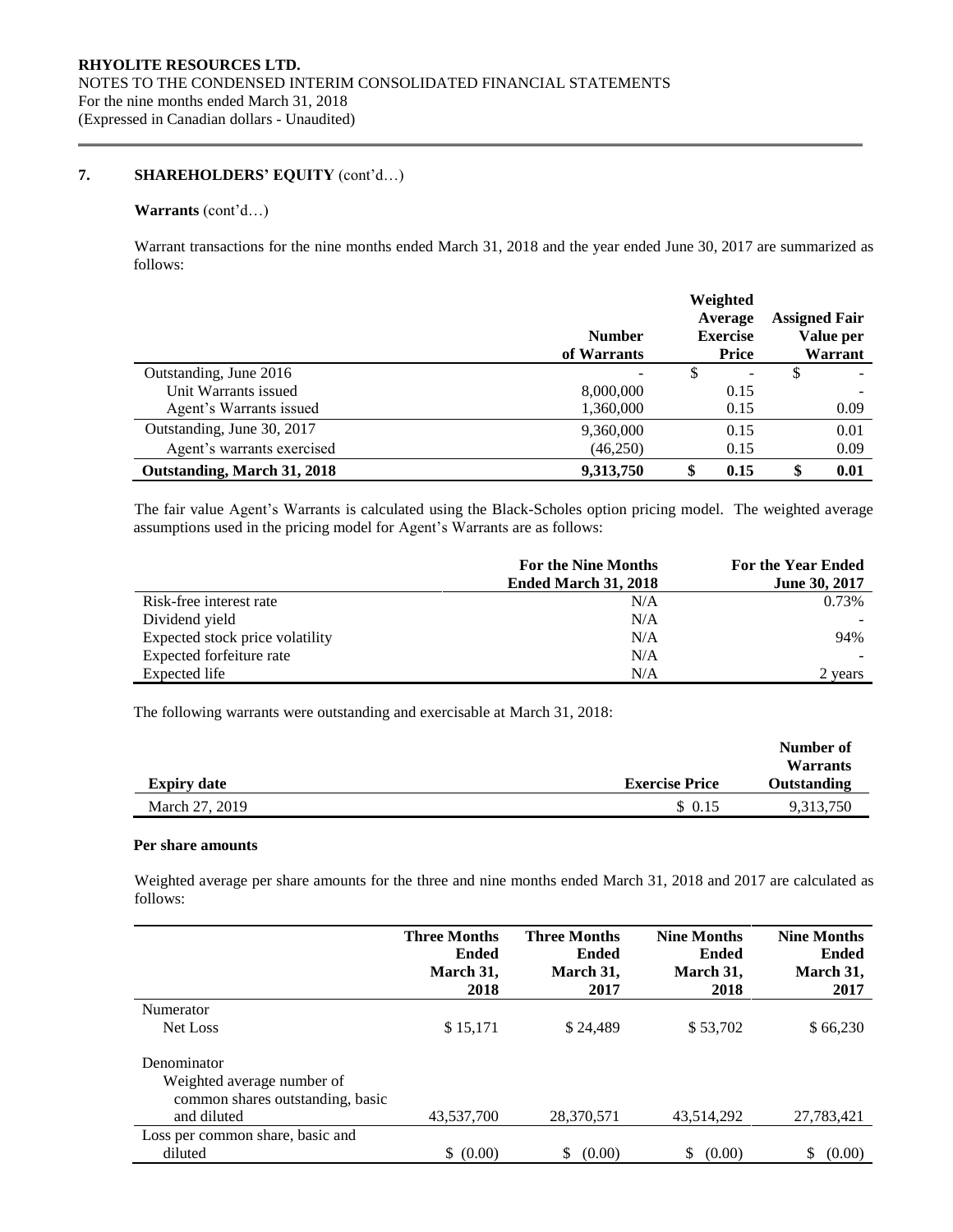# **7. SHAREHOLDERS' EQUITY** (cont'd…)

## **Warrants** (cont'd…)

Warrant transactions for the nine months ended March 31, 2018 and the year ended June 30, 2017 are summarized as follows:

|                             | <b>Number</b><br>of Warrants | Weighted<br>Average<br><b>Exercise</b><br><b>Price</b> |   | <b>Assigned Fair</b><br>Value per<br>Warrant |
|-----------------------------|------------------------------|--------------------------------------------------------|---|----------------------------------------------|
| Outstanding, June 2016      |                              |                                                        | S |                                              |
| Unit Warrants issued        | 8,000,000                    | 0.15                                                   |   |                                              |
| Agent's Warrants issued     | 1,360,000                    | 0.15                                                   |   | 0.09                                         |
| Outstanding, June 30, 2017  | 9,360,000                    | 0.15                                                   |   | 0.01                                         |
| Agent's warrants exercised  | (46,250)                     | 0.15                                                   |   | 0.09                                         |
| Outstanding, March 31, 2018 | 9,313,750                    | 0.15                                                   |   | 0.01                                         |

The fair value Agent's Warrants is calculated using the Black-Scholes option pricing model. The weighted average assumptions used in the pricing model for Agent's Warrants are as follows:

|                                 | For the Nine Months<br>Ended March 31, 2018 | <b>For the Year Ended</b><br>June 30, 2017 |
|---------------------------------|---------------------------------------------|--------------------------------------------|
| Risk-free interest rate         | N/A                                         | 0.73%                                      |
| Dividend yield                  | N/A                                         |                                            |
| Expected stock price volatility | N/A                                         | 94%                                        |
| Expected forfeiture rate        | N/A                                         |                                            |
| Expected life                   | N/A                                         | 2 years                                    |

The following warrants were outstanding and exercisable at March 31, 2018:

|                    |                       | Number of<br><b>Warrants</b> |
|--------------------|-----------------------|------------------------------|
| <b>Expiry date</b> | <b>Exercise Price</b> | <b>Outstanding</b>           |
| March 27, 2019     | \$ 0.15               | 9,313,750                    |

#### **Per share amounts**

Weighted average per share amounts for the three and nine months ended March 31, 2018 and 2017 are calculated as follows:

|                                  | <b>Three Months</b><br><b>Ended</b><br>March 31,<br>2018 | <b>Three Months</b><br><b>Ended</b><br>March 31,<br>2017 | <b>Nine Months</b><br><b>Ended</b><br>March 31,<br>2018 | <b>Nine Months</b><br><b>Ended</b><br>March 31,<br>2017 |
|----------------------------------|----------------------------------------------------------|----------------------------------------------------------|---------------------------------------------------------|---------------------------------------------------------|
| Numerator                        |                                                          |                                                          |                                                         |                                                         |
| Net Loss                         | \$15,171                                                 | \$24,489                                                 | \$53,702                                                | \$66,230                                                |
| Denominator                      |                                                          |                                                          |                                                         |                                                         |
| Weighted average number of       |                                                          |                                                          |                                                         |                                                         |
| common shares outstanding, basic |                                                          |                                                          |                                                         |                                                         |
| and diluted                      | 43,537,700                                               | 28,370,571                                               | 43,514,292                                              | 27,783,421                                              |
| Loss per common share, basic and |                                                          |                                                          |                                                         |                                                         |
| diluted                          | \$ (0.00)                                                | (0.00)<br>S                                              | \$<br>(0.00)                                            | S.<br>(0.00)                                            |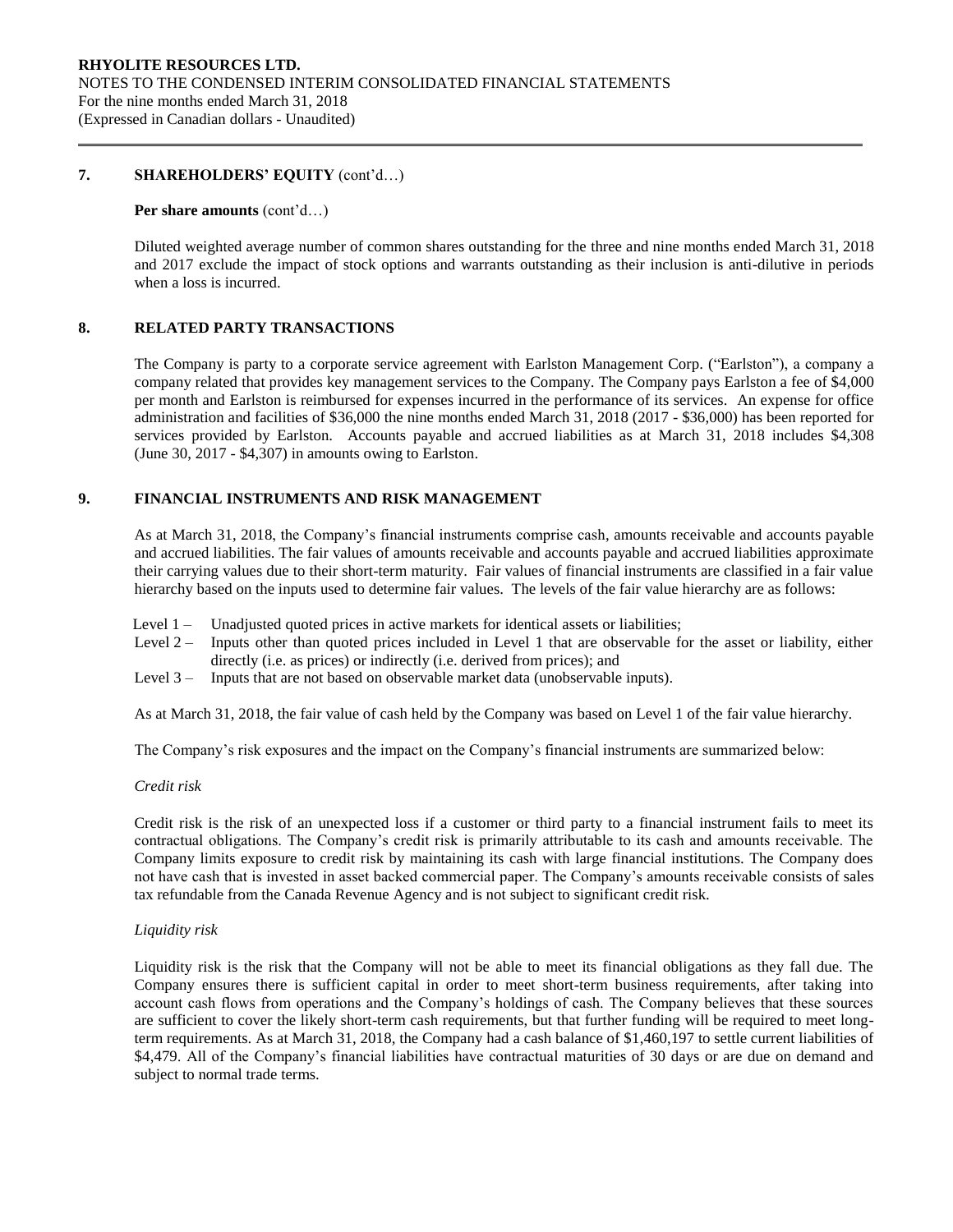## **7. SHAREHOLDERS' EQUITY** (cont'd…)

#### **Per share amounts** (cont'd…)

Diluted weighted average number of common shares outstanding for the three and nine months ended March 31, 2018 and 2017 exclude the impact of stock options and warrants outstanding as their inclusion is anti-dilutive in periods when a loss is incurred.

## **8. RELATED PARTY TRANSACTIONS**

The Company is party to a corporate service agreement with Earlston Management Corp. ("Earlston"), a company a company related that provides key management services to the Company. The Company pays Earlston a fee of \$4,000 per month and Earlston is reimbursed for expenses incurred in the performance of its services. An expense for office administration and facilities of \$36,000 the nine months ended March 31, 2018 (2017 - \$36,000) has been reported for services provided by Earlston. Accounts payable and accrued liabilities as at March 31, 2018 includes \$4,308 (June 30, 2017 - \$4,307) in amounts owing to Earlston.

## **9. FINANCIAL INSTRUMENTS AND RISK MANAGEMENT**

As at March 31, 2018, the Company's financial instruments comprise cash, amounts receivable and accounts payable and accrued liabilities. The fair values of amounts receivable and accounts payable and accrued liabilities approximate their carrying values due to their short-term maturity. Fair values of financial instruments are classified in a fair value hierarchy based on the inputs used to determine fair values. The levels of the fair value hierarchy are as follows:

- Level 1 Unadjusted quoted prices in active markets for identical assets or liabilities;
- Level 2 Inputs other than quoted prices included in Level 1 that are observable for the asset or liability, either directly (i.e. as prices) or indirectly (i.e. derived from prices); and
- Level 3 Inputs that are not based on observable market data (unobservable inputs).

As at March 31, 2018, the fair value of cash held by the Company was based on Level 1 of the fair value hierarchy.

The Company's risk exposures and the impact on the Company's financial instruments are summarized below:

## *Credit risk*

Credit risk is the risk of an unexpected loss if a customer or third party to a financial instrument fails to meet its contractual obligations. The Company's credit risk is primarily attributable to its cash and amounts receivable. The Company limits exposure to credit risk by maintaining its cash with large financial institutions. The Company does not have cash that is invested in asset backed commercial paper. The Company's amounts receivable consists of sales tax refundable from the Canada Revenue Agency and is not subject to significant credit risk.

### *Liquidity risk*

Liquidity risk is the risk that the Company will not be able to meet its financial obligations as they fall due. The Company ensures there is sufficient capital in order to meet short-term business requirements, after taking into account cash flows from operations and the Company's holdings of cash. The Company believes that these sources are sufficient to cover the likely short-term cash requirements, but that further funding will be required to meet longterm requirements. As at March 31, 2018, the Company had a cash balance of \$1,460,197 to settle current liabilities of \$4,479. All of the Company's financial liabilities have contractual maturities of 30 days or are due on demand and subject to normal trade terms.